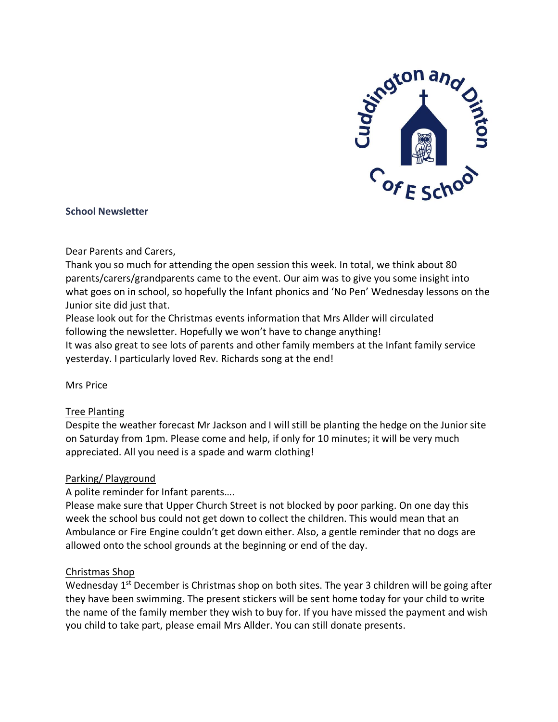

### **School Newsletter**

#### Dear Parents and Carers,

Thank you so much for attending the open session this week. In total, we think about 80 parents/carers/grandparents came to the event. Our aim was to give you some insight into what goes on in school, so hopefully the Infant phonics and 'No Pen' Wednesday lessons on the Junior site did just that.

Please look out for the Christmas events information that Mrs Allder will circulated following the newsletter. Hopefully we won't have to change anything!

It was also great to see lots of parents and other family members at the Infant family service yesterday. I particularly loved Rev. Richards song at the end!

Mrs Price

### Tree Planting

Despite the weather forecast Mr Jackson and I will still be planting the hedge on the Junior site on Saturday from 1pm. Please come and help, if only for 10 minutes; it will be very much appreciated. All you need is a spade and warm clothing!

### Parking/ Playground

A polite reminder for Infant parents….

Please make sure that Upper Church Street is not blocked by poor parking. On one day this week the school bus could not get down to collect the children. This would mean that an Ambulance or Fire Engine couldn't get down either. Also, a gentle reminder that no dogs are allowed onto the school grounds at the beginning or end of the day.

### Christmas Shop

Wednesday 1<sup>st</sup> December is Christmas shop on both sites. The year 3 children will be going after they have been swimming. The present stickers will be sent home today for your child to write the name of the family member they wish to buy for. If you have missed the payment and wish you child to take part, please email Mrs Allder. You can still donate presents.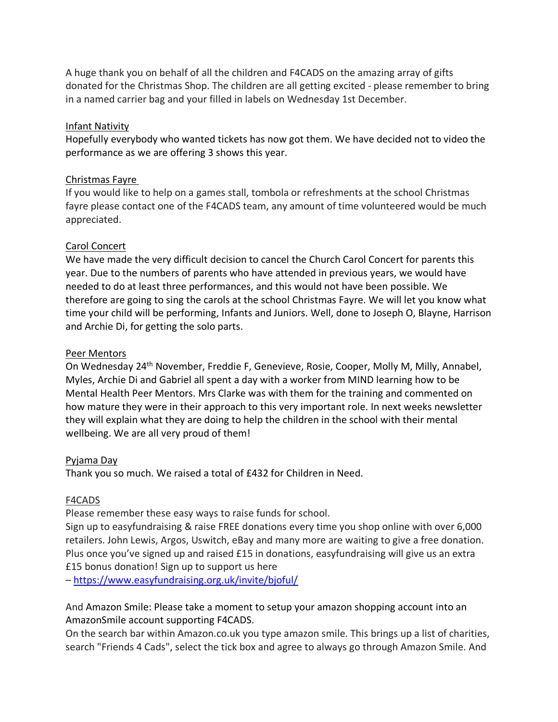A huge thank you on behalf of all the children and F4CADS on the amazing array of gifts donated for the Christmas Shop. The children are all getting excited - please remember to bring in a named carrier bag and your filled in labels on Wednesday 1st December.

### Infant Nativity

Hopefully everybody who wanted tickets has now got them. We have decided not to video the performance as we are offering 3 shows this year.

## Christmas Fayre

If you would like to help on a games stall, tombola or refreshments at the school Christmas fayre please contact one of the F4CADS team, any amount of time volunteered would be much appreciated.

## Carol Concert

We have made the very difficult decision to cancel the Church Carol Concert for parents this year. Due to the numbers of parents who have attended in previous years, we would have needed to do at least three performances, and this would not have been possible. We therefore are going to sing the carols at the school Christmas Fayre. We will let you know what time your child will be performing, Infants and Juniors. Well, done to Joseph O, Blayne, Harrison and Archie Di, for getting the solo parts.

## Peer Mentors

On Wednesday 24th November, Freddie F, Genevieve, Rosie, Cooper, Molly M, Milly, Annabel, Myles, Archie Di and Gabriel all spent a day with a worker from MIND learning how to be Mental Health Peer Mentors. Mrs Clarke was with them for the training and commented on how mature they were in their approach to this very important role. In next weeks newsletter they will explain what they are doing to help the children in the school with their mental wellbeing. We are all very proud of them!

### Pyjama Day

Thank you so much. We raised a total of £432 for Children in Need.

### F4CADS

Please remember these easy ways to raise funds for school.

Sign up to easyfundraising & raise FREE donations every time you shop online with over 6,000 retailers. John Lewis, Argos, Uswitch, eBay and many more are waiting to give a free donation. Plus once you've signed up and raised £15 in donations, easyfundraising will give us an extra £15 bonus donation! Sign up to support us here

– <https://www.easyfundraising.org.uk/invite/bjoful/>

And Amazon Smile: Please take a moment to setup your amazon shopping account into an AmazonSmile account supporting F4CADS.

On the search bar within Amazon.co.uk you type amazon smile. This brings up a list of charities, search "Friends 4 Cads", select the tick box and agree to always go through Amazon Smile. And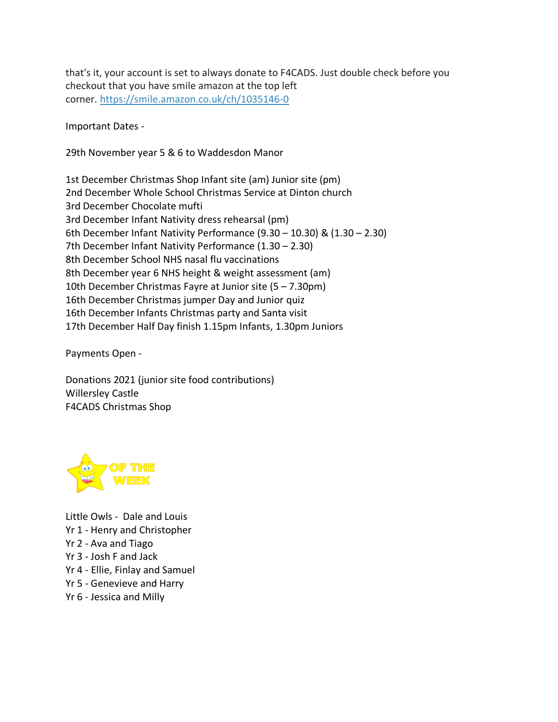that's it, your account is set to always donate to F4CADS. Just double check before you checkout that you have smile amazon at the top left corner. <https://smile.amazon.co.uk/ch/1035146-0>

Important Dates -

29th November year 5 & 6 to Waddesdon Manor

1st December Christmas Shop Infant site (am) Junior site (pm) 2nd December Whole School Christmas Service at Dinton church 3rd December Chocolate mufti 3rd December Infant Nativity dress rehearsal (pm) 6th December Infant Nativity Performance (9.30 – 10.30) & (1.30 – 2.30) 7th December Infant Nativity Performance (1.30 – 2.30) 8th December School NHS nasal flu vaccinations 8th December year 6 NHS height & weight assessment (am) 10th December Christmas Fayre at Junior site (5 – 7.30pm) 16th December Christmas jumper Day and Junior quiz 16th December Infants Christmas party and Santa visit 17th December Half Day finish 1.15pm Infants, 1.30pm Juniors

Payments Open -

Donations 2021 (junior site food contributions) Willersley Castle F4CADS Christmas Shop



Little Owls - Dale and Louis Yr 1 - Henry and Christopher Yr 2 - Ava and Tiago Yr 3 - Josh F and Jack Yr 4 - Ellie, Finlay and Samuel Yr 5 - Genevieve and Harry Yr 6 - Jessica and Milly